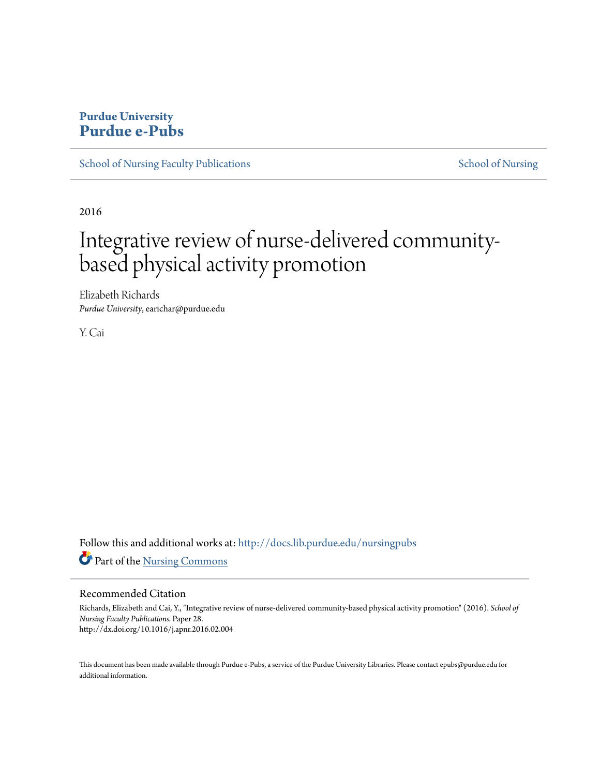## **Purdue University [Purdue e-Pubs](http://docs.lib.purdue.edu?utm_source=docs.lib.purdue.edu%2Fnursingpubs%2F28&utm_medium=PDF&utm_campaign=PDFCoverPages)**

[School of Nursing Faculty Publications](http://docs.lib.purdue.edu/nursingpubs?utm_source=docs.lib.purdue.edu%2Fnursingpubs%2F28&utm_medium=PDF&utm_campaign=PDFCoverPages) [School of Nursing](http://docs.lib.purdue.edu/nursing?utm_source=docs.lib.purdue.edu%2Fnursingpubs%2F28&utm_medium=PDF&utm_campaign=PDFCoverPages) School of Nursing

2016

# Integrative review of nurse-delivered communitybased physical activity promotion

Elizabeth Richards *Purdue University*, earichar@purdue.edu

Y. Cai

Follow this and additional works at: [http://docs.lib.purdue.edu/nursingpubs](http://docs.lib.purdue.edu/nursingpubs?utm_source=docs.lib.purdue.edu%2Fnursingpubs%2F28&utm_medium=PDF&utm_campaign=PDFCoverPages) Part of the [Nursing Commons](http://network.bepress.com/hgg/discipline/718?utm_source=docs.lib.purdue.edu%2Fnursingpubs%2F28&utm_medium=PDF&utm_campaign=PDFCoverPages)

Recommended Citation

Richards, Elizabeth and Cai, Y., "Integrative review of nurse-delivered community-based physical activity promotion" (2016). *School of Nursing Faculty Publications.* Paper 28. http://dx.doi.org/10.1016/j.apnr.2016.02.004

This document has been made available through Purdue e-Pubs, a service of the Purdue University Libraries. Please contact epubs@purdue.edu for additional information.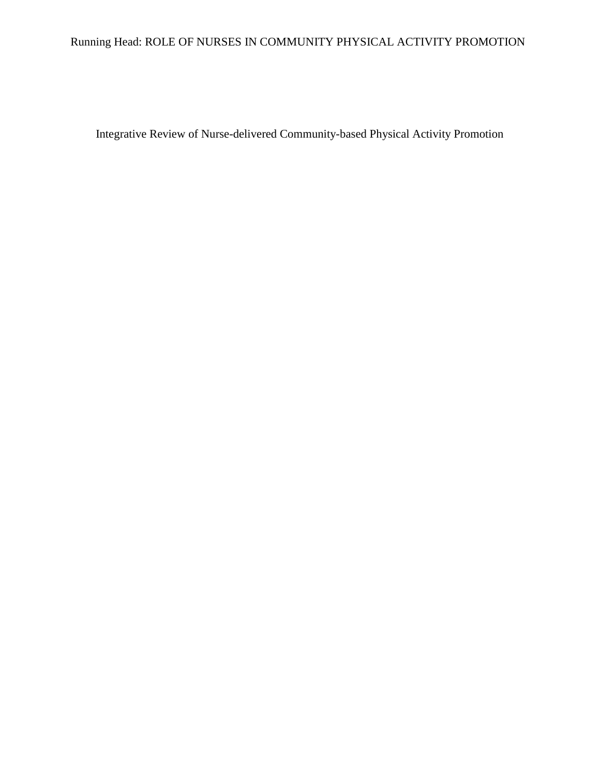# Running Head: ROLE OF NURSES IN COMMUNITY PHYSICAL ACTIVITY PROMOTION

Integrative Review of Nurse-delivered Community-based Physical Activity Promotion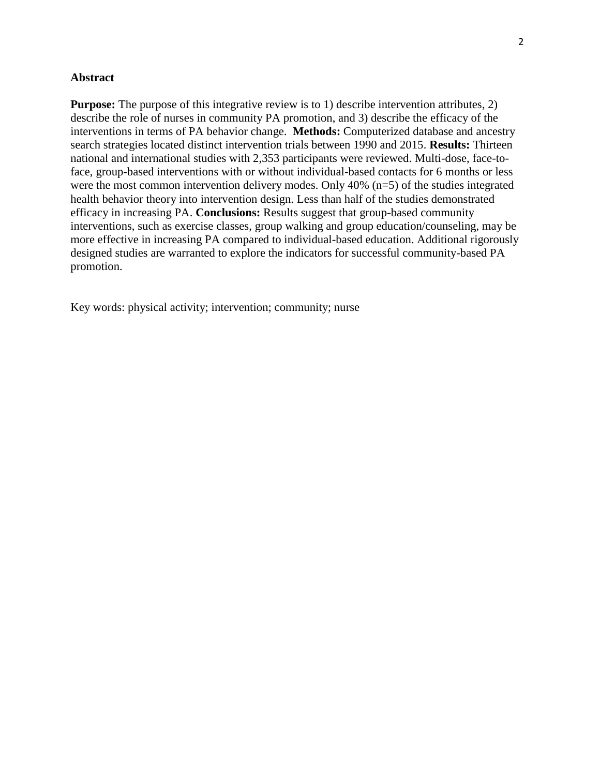## **Abstract**

**Purpose:** The purpose of this integrative review is to 1) describe intervention attributes, 2) describe the role of nurses in community PA promotion, and 3) describe the efficacy of the interventions in terms of PA behavior change. **Methods:** Computerized database and ancestry search strategies located distinct intervention trials between 1990 and 2015. **Results:** Thirteen national and international studies with 2,353 participants were reviewed. Multi-dose, face-toface, group-based interventions with or without individual-based contacts for 6 months or less were the most common intervention delivery modes. Only 40% (n=5) of the studies integrated health behavior theory into intervention design. Less than half of the studies demonstrated efficacy in increasing PA. **Conclusions:** Results suggest that group-based community interventions, such as exercise classes, group walking and group education/counseling, may be more effective in increasing PA compared to individual-based education. Additional rigorously designed studies are warranted to explore the indicators for successful community-based PA promotion.

Key words: physical activity; intervention; community; nurse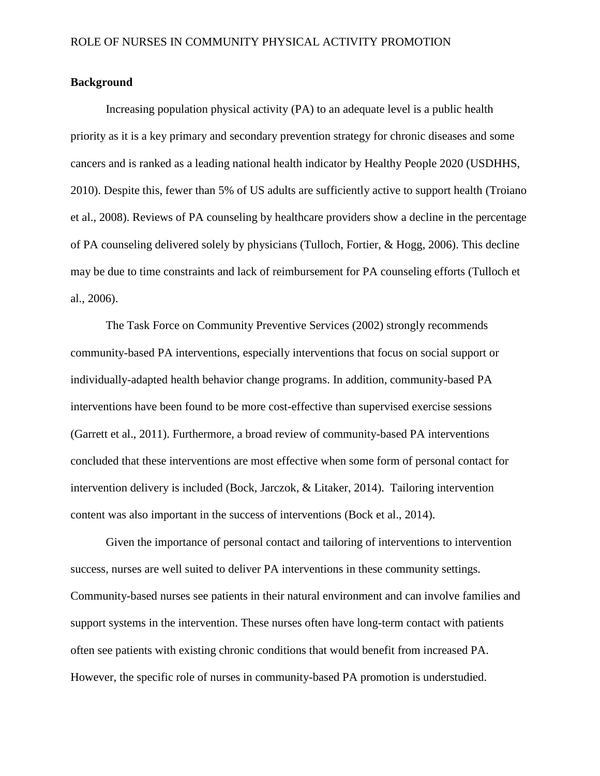## **Background**

Increasing population physical activity (PA) to an adequate level is a public health priority as it is a key primary and secondary prevention strategy for chronic diseases and some cancers and is ranked as a leading national health indicator by Healthy People 2020 (USDHHS, 2010). Despite this, fewer than 5% of US adults are sufficiently active to support health (Troiano et al., 2008). Reviews of PA counseling by healthcare providers show a decline in the percentage of PA counseling delivered solely by physicians (Tulloch, Fortier, & Hogg, 2006). This decline may be due to time constraints and lack of reimbursement for PA counseling efforts (Tulloch et al., 2006).

The Task Force on Community Preventive Services (2002) strongly recommends community-based PA interventions, especially interventions that focus on social support or individually-adapted health behavior change programs. In addition, community-based PA interventions have been found to be more cost-effective than supervised exercise sessions (Garrett et al., 2011). Furthermore, a broad review of community-based PA interventions concluded that these interventions are most effective when some form of personal contact for intervention delivery is included (Bock, Jarczok, & Litaker, 2014). Tailoring intervention content was also important in the success of interventions (Bock et al., 2014).

Given the importance of personal contact and tailoring of interventions to intervention success, nurses are well suited to deliver PA interventions in these community settings. Community-based nurses see patients in their natural environment and can involve families and support systems in the intervention. These nurses often have long-term contact with patients often see patients with existing chronic conditions that would benefit from increased PA. However, the specific role of nurses in community-based PA promotion is understudied.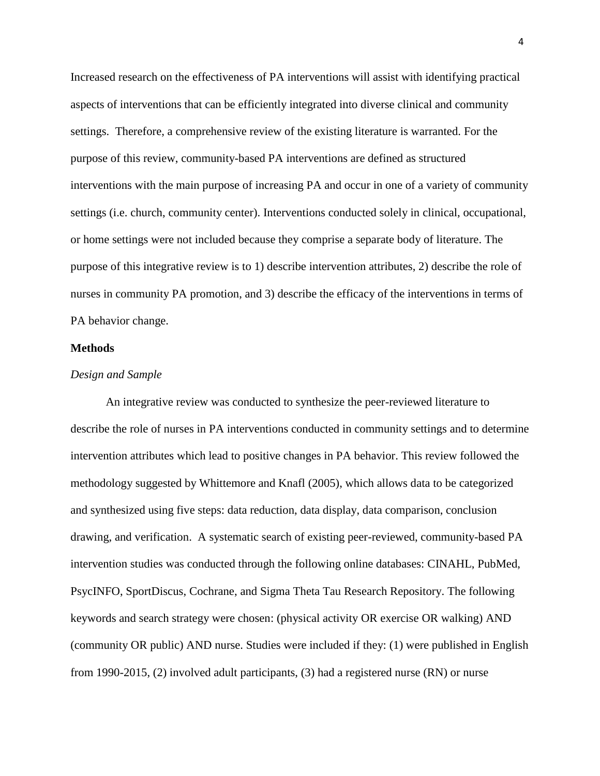Increased research on the effectiveness of PA interventions will assist with identifying practical aspects of interventions that can be efficiently integrated into diverse clinical and community settings. Therefore, a comprehensive review of the existing literature is warranted. For the purpose of this review, community-based PA interventions are defined as structured interventions with the main purpose of increasing PA and occur in one of a variety of community settings (i.e. church, community center). Interventions conducted solely in clinical, occupational, or home settings were not included because they comprise a separate body of literature. The purpose of this integrative review is to 1) describe intervention attributes, 2) describe the role of nurses in community PA promotion, and 3) describe the efficacy of the interventions in terms of PA behavior change.

#### **Methods**

#### *Design and Sample*

An integrative review was conducted to synthesize the peer-reviewed literature to describe the role of nurses in PA interventions conducted in community settings and to determine intervention attributes which lead to positive changes in PA behavior. This review followed the methodology suggested by Whittemore and Knafl (2005), which allows data to be categorized and synthesized using five steps: data reduction, data display, data comparison, conclusion drawing, and verification. A systematic search of existing peer-reviewed, community-based PA intervention studies was conducted through the following online databases: CINAHL, PubMed, PsycINFO, SportDiscus, Cochrane, and Sigma Theta Tau Research Repository. The following keywords and search strategy were chosen: (physical activity OR exercise OR walking) AND (community OR public) AND nurse. Studies were included if they: (1) were published in English from 1990-2015, (2) involved adult participants, (3) had a registered nurse (RN) or nurse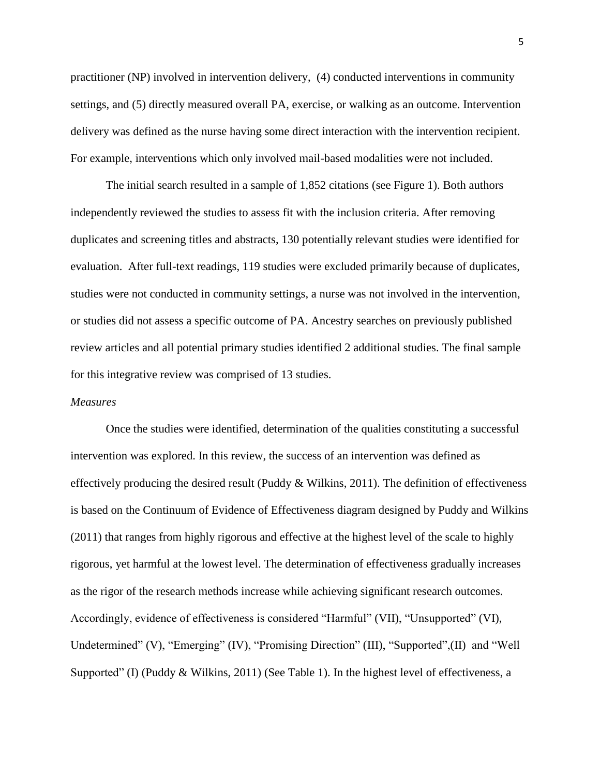practitioner (NP) involved in intervention delivery, (4) conducted interventions in community settings, and (5) directly measured overall PA, exercise, or walking as an outcome. Intervention delivery was defined as the nurse having some direct interaction with the intervention recipient. For example, interventions which only involved mail-based modalities were not included.

The initial search resulted in a sample of 1,852 citations (see Figure 1). Both authors independently reviewed the studies to assess fit with the inclusion criteria. After removing duplicates and screening titles and abstracts, 130 potentially relevant studies were identified for evaluation. After full-text readings, 119 studies were excluded primarily because of duplicates, studies were not conducted in community settings, a nurse was not involved in the intervention, or studies did not assess a specific outcome of PA. Ancestry searches on previously published review articles and all potential primary studies identified 2 additional studies. The final sample for this integrative review was comprised of 13 studies.

#### *Measures*

Once the studies were identified, determination of the qualities constituting a successful intervention was explored. In this review, the success of an intervention was defined as effectively producing the desired result (Puddy & Wilkins, 2011). The definition of effectiveness is based on the Continuum of Evidence of Effectiveness diagram designed by Puddy and Wilkins (2011) that ranges from highly rigorous and effective at the highest level of the scale to highly rigorous, yet harmful at the lowest level. The determination of effectiveness gradually increases as the rigor of the research methods increase while achieving significant research outcomes. Accordingly, evidence of effectiveness is considered "Harmful" (VII), "Unsupported" (VI), Undetermined" (V), "Emerging" (IV), "Promising Direction" (III), "Supported",(II) and "Well Supported" (I) (Puddy & Wilkins, 2011) (See Table 1). In the highest level of effectiveness, a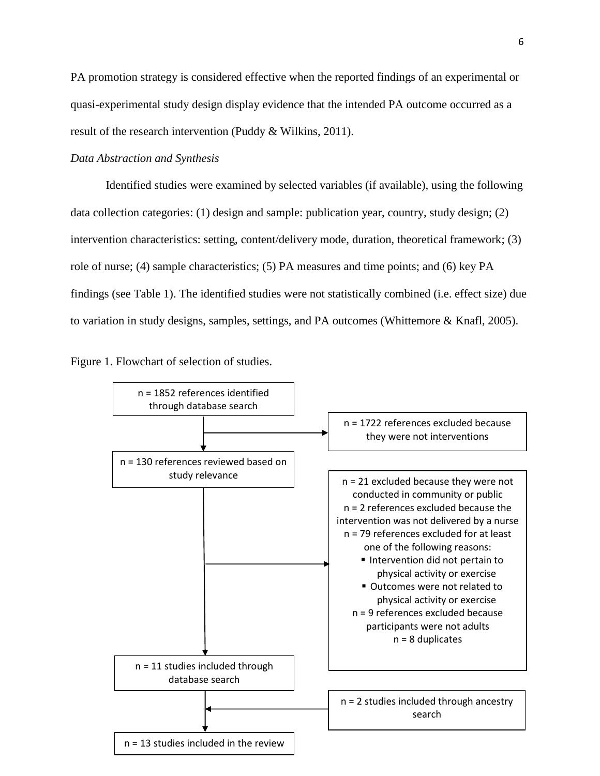PA promotion strategy is considered effective when the reported findings of an experimental or quasi-experimental study design display evidence that the intended PA outcome occurred as a result of the research intervention (Puddy & Wilkins, 2011).

## *Data Abstraction and Synthesis*

Identified studies were examined by selected variables (if available), using the following data collection categories: (1) design and sample: publication year, country, study design; (2) intervention characteristics: setting, content/delivery mode, duration, theoretical framework; (3) role of nurse; (4) sample characteristics; (5) PA measures and time points; and (6) key PA findings (see Table 1). The identified studies were not statistically combined (i.e. effect size) due to variation in study designs, samples, settings, and PA outcomes (Whittemore & Knafl, 2005).



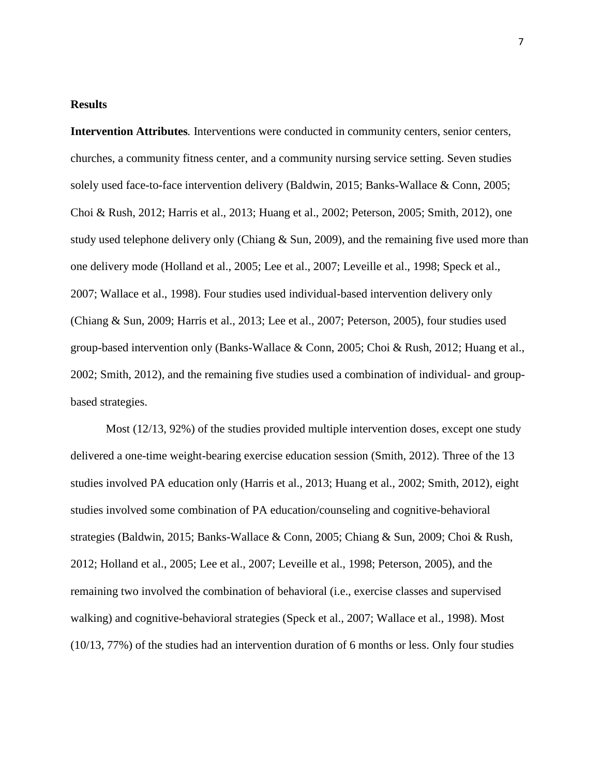#### **Results**

**Intervention Attributes***.* Interventions were conducted in community centers, senior centers, churches, a community fitness center, and a community nursing service setting. Seven studies solely used face-to-face intervention delivery (Baldwin, 2015; Banks-Wallace & Conn, 2005; Choi & Rush, 2012; Harris et al., 2013; Huang et al., 2002; Peterson, 2005; Smith, 2012), one study used telephone delivery only (Chiang & Sun, 2009), and the remaining five used more than one delivery mode (Holland et al., 2005; Lee et al., 2007; Leveille et al., 1998; Speck et al., 2007; Wallace et al., 1998). Four studies used individual-based intervention delivery only (Chiang & Sun, 2009; Harris et al., 2013; Lee et al., 2007; Peterson, 2005), four studies used group-based intervention only (Banks-Wallace & Conn, 2005; Choi & Rush, 2012; Huang et al., 2002; Smith, 2012), and the remaining five studies used a combination of individual- and groupbased strategies.

Most (12/13, 92%) of the studies provided multiple intervention doses, except one study delivered a one-time weight-bearing exercise education session (Smith, 2012). Three of the 13 studies involved PA education only (Harris et al., 2013; Huang et al., 2002; Smith, 2012), eight studies involved some combination of PA education/counseling and cognitive-behavioral strategies (Baldwin, 2015; Banks-Wallace & Conn, 2005; Chiang & Sun, 2009; Choi & Rush, 2012; Holland et al., 2005; Lee et al., 2007; Leveille et al., 1998; Peterson, 2005), and the remaining two involved the combination of behavioral (i.e., exercise classes and supervised walking) and cognitive-behavioral strategies (Speck et al., 2007; Wallace et al., 1998). Most (10/13, 77%) of the studies had an intervention duration of 6 months or less. Only four studies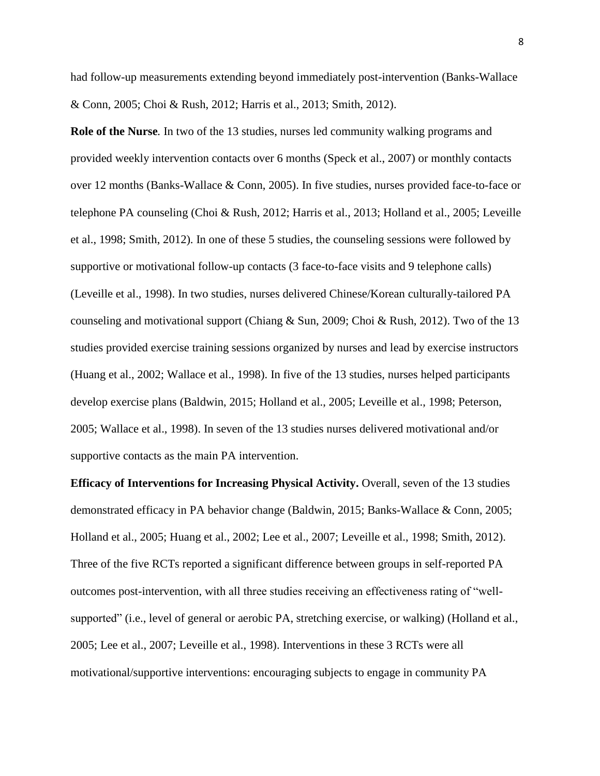had follow-up measurements extending beyond immediately post-intervention (Banks-Wallace & Conn, 2005; Choi & Rush, 2012; Harris et al., 2013; Smith, 2012).

**Role of the Nurse***.* In two of the 13 studies, nurses led community walking programs and provided weekly intervention contacts over 6 months (Speck et al., 2007) or monthly contacts over 12 months (Banks-Wallace & Conn, 2005). In five studies, nurses provided face-to-face or telephone PA counseling (Choi & Rush, 2012; Harris et al., 2013; Holland et al., 2005; Leveille et al., 1998; Smith, 2012). In one of these 5 studies, the counseling sessions were followed by supportive or motivational follow-up contacts (3 face-to-face visits and 9 telephone calls) (Leveille et al., 1998). In two studies, nurses delivered Chinese/Korean culturally-tailored PA counseling and motivational support (Chiang & Sun, 2009; Choi & Rush, 2012). Two of the 13 studies provided exercise training sessions organized by nurses and lead by exercise instructors (Huang et al., 2002; Wallace et al., 1998). In five of the 13 studies, nurses helped participants develop exercise plans (Baldwin, 2015; Holland et al., 2005; Leveille et al., 1998; Peterson, 2005; Wallace et al., 1998). In seven of the 13 studies nurses delivered motivational and/or supportive contacts as the main PA intervention.

**Efficacy of Interventions for Increasing Physical Activity.** Overall, seven of the 13 studies demonstrated efficacy in PA behavior change (Baldwin, 2015; Banks-Wallace & Conn, 2005; Holland et al., 2005; Huang et al., 2002; Lee et al., 2007; Leveille et al., 1998; Smith, 2012). Three of the five RCTs reported a significant difference between groups in self-reported PA outcomes post-intervention, with all three studies receiving an effectiveness rating of "wellsupported" (i.e., level of general or aerobic PA, stretching exercise, or walking) (Holland et al., 2005; Lee et al., 2007; Leveille et al., 1998). Interventions in these 3 RCTs were all motivational/supportive interventions: encouraging subjects to engage in community PA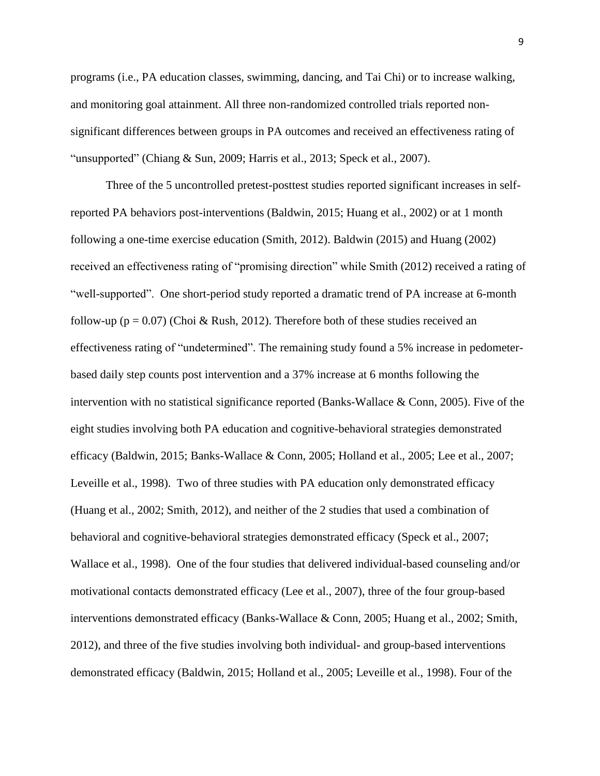programs (i.e., PA education classes, swimming, dancing, and Tai Chi) or to increase walking, and monitoring goal attainment. All three non-randomized controlled trials reported nonsignificant differences between groups in PA outcomes and received an effectiveness rating of "unsupported" (Chiang & Sun, 2009; Harris et al., 2013; Speck et al., 2007).

Three of the 5 uncontrolled pretest-posttest studies reported significant increases in selfreported PA behaviors post-interventions (Baldwin, 2015; Huang et al., 2002) or at 1 month following a one-time exercise education (Smith, 2012). Baldwin (2015) and Huang (2002) received an effectiveness rating of "promising direction" while Smith (2012) received a rating of "well-supported". One short-period study reported a dramatic trend of PA increase at 6-month follow-up ( $p = 0.07$ ) (Choi & Rush, 2012). Therefore both of these studies received an effectiveness rating of "undetermined". The remaining study found a 5% increase in pedometerbased daily step counts post intervention and a 37% increase at 6 months following the intervention with no statistical significance reported (Banks-Wallace & Conn, 2005). Five of the eight studies involving both PA education and cognitive-behavioral strategies demonstrated efficacy (Baldwin, 2015; Banks-Wallace & Conn, 2005; Holland et al., 2005; Lee et al., 2007; Leveille et al., 1998). Two of three studies with PA education only demonstrated efficacy (Huang et al., 2002; Smith, 2012), and neither of the 2 studies that used a combination of behavioral and cognitive-behavioral strategies demonstrated efficacy (Speck et al., 2007; Wallace et al., 1998). One of the four studies that delivered individual-based counseling and/or motivational contacts demonstrated efficacy (Lee et al., 2007), three of the four group-based interventions demonstrated efficacy (Banks-Wallace & Conn, 2005; Huang et al., 2002; Smith, 2012), and three of the five studies involving both individual- and group-based interventions demonstrated efficacy (Baldwin, 2015; Holland et al., 2005; Leveille et al., 1998). Four of the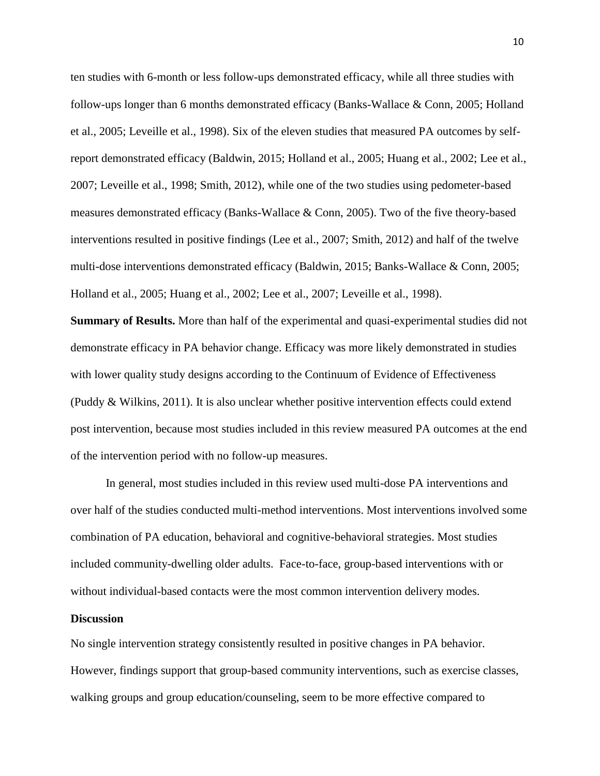ten studies with 6-month or less follow-ups demonstrated efficacy, while all three studies with follow-ups longer than 6 months demonstrated efficacy (Banks-Wallace & Conn, 2005; Holland et al., 2005; Leveille et al., 1998). Six of the eleven studies that measured PA outcomes by selfreport demonstrated efficacy (Baldwin, 2015; Holland et al., 2005; Huang et al., 2002; Lee et al., 2007; Leveille et al., 1998; Smith, 2012), while one of the two studies using pedometer-based measures demonstrated efficacy (Banks-Wallace & Conn, 2005). Two of the five theory-based interventions resulted in positive findings (Lee et al., 2007; Smith, 2012) and half of the twelve multi-dose interventions demonstrated efficacy (Baldwin, 2015; Banks-Wallace & Conn, 2005; Holland et al., 2005; Huang et al., 2002; Lee et al., 2007; Leveille et al., 1998).

**Summary of Results.** More than half of the experimental and quasi-experimental studies did not demonstrate efficacy in PA behavior change. Efficacy was more likely demonstrated in studies with lower quality study designs according to the Continuum of Evidence of Effectiveness (Puddy  $&$  Wilkins, 2011). It is also unclear whether positive intervention effects could extend post intervention, because most studies included in this review measured PA outcomes at the end of the intervention period with no follow-up measures.

In general, most studies included in this review used multi-dose PA interventions and over half of the studies conducted multi-method interventions. Most interventions involved some combination of PA education, behavioral and cognitive-behavioral strategies. Most studies included community-dwelling older adults. Face-to-face, group-based interventions with or without individual-based contacts were the most common intervention delivery modes.

#### **Discussion**

No single intervention strategy consistently resulted in positive changes in PA behavior. However, findings support that group-based community interventions, such as exercise classes, walking groups and group education/counseling, seem to be more effective compared to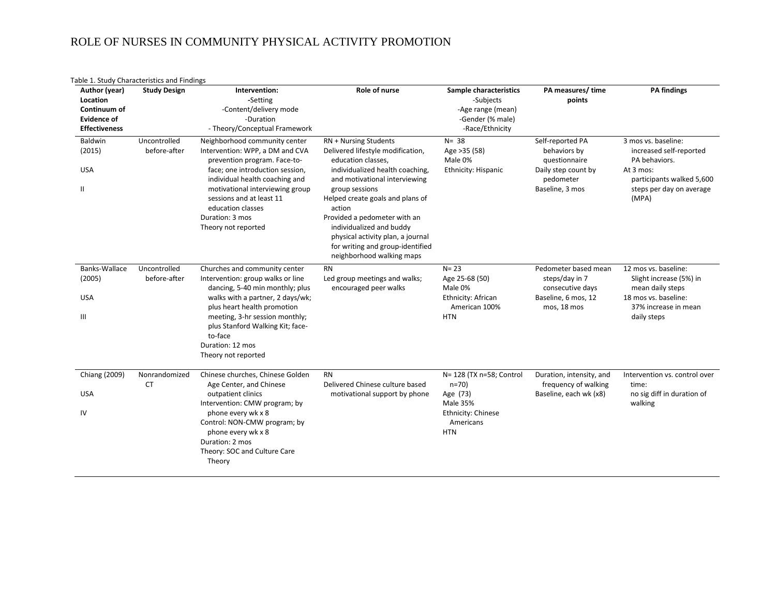# ROLE OF NURSES IN COMMUNITY PHYSICAL ACTIVITY PROMOTION

| Author (year)                                                          | <b>Study Design</b>          | Intervention:                                                                                                                                                                                                                                                                                        | Role of nurse                                                                                                                                                                                                                                                                                                                                                                          | Sample characteristics                                                                                               | PA measures/time                                                                                         | <b>PA</b> findings                                                                                                                             |
|------------------------------------------------------------------------|------------------------------|------------------------------------------------------------------------------------------------------------------------------------------------------------------------------------------------------------------------------------------------------------------------------------------------------|----------------------------------------------------------------------------------------------------------------------------------------------------------------------------------------------------------------------------------------------------------------------------------------------------------------------------------------------------------------------------------------|----------------------------------------------------------------------------------------------------------------------|----------------------------------------------------------------------------------------------------------|------------------------------------------------------------------------------------------------------------------------------------------------|
| Location<br>Continuum of<br><b>Evidence of</b><br><b>Effectiveness</b> |                              | -Setting<br>-Content/delivery mode<br>-Duration<br>- Theory/Conceptual Framework                                                                                                                                                                                                                     |                                                                                                                                                                                                                                                                                                                                                                                        | -Subjects<br>-Age range (mean)<br>-Gender (% male)<br>-Race/Ethnicity                                                | points                                                                                                   |                                                                                                                                                |
| Baldwin<br>(2015)<br><b>USA</b><br>$\mathbf{H}$                        | Uncontrolled<br>before-after | Neighborhood community center<br>Intervention: WPP, a DM and CVA<br>prevention program. Face-to-<br>face; one introduction session,<br>individual health coaching and<br>motivational interviewing group<br>sessions and at least 11<br>education classes<br>Duration: 3 mos<br>Theory not reported  | RN + Nursing Students<br>Delivered lifestyle modification,<br>education classes,<br>individualized health coaching,<br>and motivational interviewing<br>group sessions<br>Helped create goals and plans of<br>action<br>Provided a pedometer with an<br>individualized and buddy<br>physical activity plan, a journal<br>for writing and group-identified<br>neighborhood walking maps | $N = 38$<br>Age > 35 (58)<br>Male 0%<br>Ethnicity: Hispanic                                                          | Self-reported PA<br>behaviors by<br>questionnaire<br>Daily step count by<br>pedometer<br>Baseline, 3 mos | 3 mos vs. baseline:<br>increased self-reported<br>PA behaviors.<br>At 3 mos:<br>participants walked 5,600<br>steps per day on average<br>(MPA) |
| Banks-Wallace<br>(2005)<br><b>USA</b><br>Ш                             | Uncontrolled<br>before-after | Churches and community center<br>Intervention: group walks or line<br>dancing, 5-40 min monthly; plus<br>walks with a partner, 2 days/wk;<br>plus heart health promotion<br>meeting, 3-hr session monthly;<br>plus Stanford Walking Kit; face-<br>to-face<br>Duration: 12 mos<br>Theory not reported | <b>RN</b><br>Led group meetings and walks;<br>encouraged peer walks                                                                                                                                                                                                                                                                                                                    | $N = 23$<br>Age 25-68 (50)<br>Male 0%<br>Ethnicity: African<br>American 100%<br><b>HTN</b>                           | Pedometer based mean<br>steps/day in 7<br>consecutive days<br>Baseline, 6 mos, 12<br>mos, 18 mos         | 12 mos vs. baseline:<br>Slight increase (5%) in<br>mean daily steps<br>18 mos vs. baseline:<br>37% increase in mean<br>daily steps             |
| Chiang (2009)<br><b>USA</b><br>IV                                      | Nonrandomized<br><b>CT</b>   | Chinese churches, Chinese Golden<br>Age Center, and Chinese<br>outpatient clinics<br>Intervention: CMW program; by<br>phone every wk x 8<br>Control: NON-CMW program; by<br>phone every wk x 8<br>Duration: 2 mos<br>Theory: SOC and Culture Care<br>Theory                                          | <b>RN</b><br>Delivered Chinese culture based<br>motivational support by phone                                                                                                                                                                                                                                                                                                          | N= 128 (TX n=58; Control<br>$n=70$ )<br>Age (73)<br><b>Male 35%</b><br>Ethnicity: Chinese<br>Americans<br><b>HTN</b> | Duration, intensity, and<br>frequency of walking<br>Baseline, each wk (x8)                               | Intervention vs. control over<br>time:<br>no sig diff in duration of<br>walking                                                                |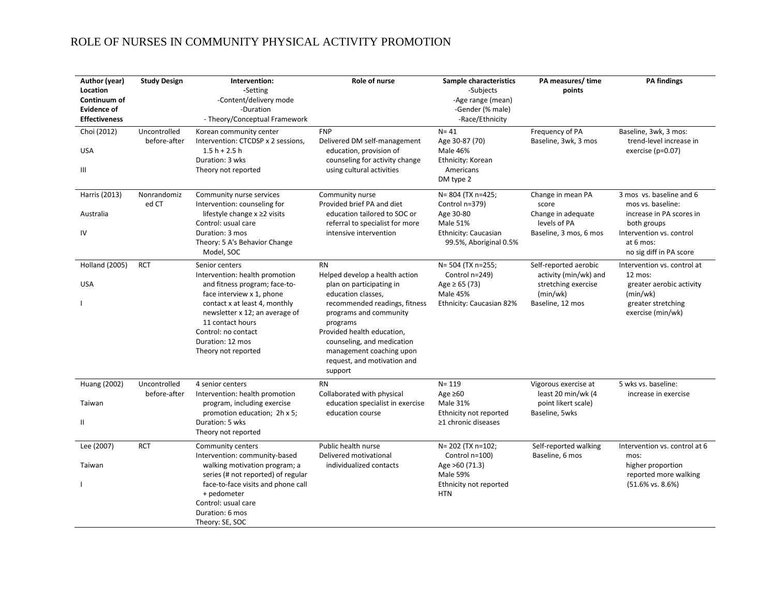# ROLE OF NURSES IN COMMUNITY PHYSICAL ACTIVITY PROMOTION

| Author (year)<br>Location<br>Continuum of<br><b>Evidence of</b><br><b>Effectiveness</b> | <b>Study Design</b>          | Intervention:<br>-Setting<br>-Content/delivery mode<br>-Duration<br>- Theory/Conceptual Framework                                                                                                                                                                       | Role of nurse                                                                                                                                                                                                                                                                                          | Sample characteristics<br>-Subjects<br>-Age range (mean)<br>-Gender (% male)<br>-Race/Ethnicity                  | PA measures/time<br>points                                                                            | <b>PA</b> findings                                                                                                                                           |
|-----------------------------------------------------------------------------------------|------------------------------|-------------------------------------------------------------------------------------------------------------------------------------------------------------------------------------------------------------------------------------------------------------------------|--------------------------------------------------------------------------------------------------------------------------------------------------------------------------------------------------------------------------------------------------------------------------------------------------------|------------------------------------------------------------------------------------------------------------------|-------------------------------------------------------------------------------------------------------|--------------------------------------------------------------------------------------------------------------------------------------------------------------|
| Choi (2012)<br><b>USA</b><br>Ш                                                          | Uncontrolled<br>before-after | Korean community center<br>Intervention: CTCDSP x 2 sessions,<br>$1.5 h + 2.5 h$<br>Duration: 3 wks<br>Theory not reported                                                                                                                                              | <b>FNP</b><br>Delivered DM self-management<br>education, provision of<br>counseling for activity change<br>using cultural activities                                                                                                                                                                   | $N = 41$<br>Age 30-87 (70)<br>Male 46%<br>Ethnicity: Korean<br>Americans<br>DM type 2                            | Frequency of PA<br>Baseline, 3wk, 3 mos                                                               | Baseline, 3wk, 3 mos:<br>trend-level increase in<br>exercise (p=0.07)                                                                                        |
| Harris (2013)<br>Australia<br>IV                                                        | Nonrandomiz<br>ed CT         | Community nurse services<br>Intervention: counseling for<br>lifestyle change $x \ge 2$ visits<br>Control: usual care<br>Duration: 3 mos<br>Theory: 5 A's Behavior Change<br>Model, SOC                                                                                  | Community nurse<br>Provided brief PA and diet<br>education tailored to SOC or<br>referral to specialist for more<br>intensive intervention                                                                                                                                                             | N= 804 (TX n=425;<br>Control n=379)<br>Age 30-80<br>Male 51%<br>Ethnicity: Caucasian<br>99.5%, Aboriginal 0.5%   | Change in mean PA<br>score<br>Change in adequate<br>levels of PA<br>Baseline, 3 mos, 6 mos            | 3 mos vs. baseline and 6<br>mos vs. baseline:<br>increase in PA scores in<br>both groups<br>Intervention vs. control<br>at 6 mos:<br>no sig diff in PA score |
| <b>Holland (2005)</b><br><b>USA</b>                                                     | <b>RCT</b>                   | Senior centers<br>Intervention: health promotion<br>and fitness program; face-to-<br>face interview x 1, phone<br>contact x at least 4, monthly<br>newsletter x 12; an average of<br>11 contact hours<br>Control: no contact<br>Duration: 12 mos<br>Theory not reported | <b>RN</b><br>Helped develop a health action<br>plan on participating in<br>education classes,<br>recommended readings, fitness<br>programs and community<br>programs<br>Provided health education,<br>counseling, and medication<br>management coaching upon<br>request, and motivation and<br>support | N= 504 (TX n=255;<br>Control n=249)<br>Age $\geq 65(73)$<br><b>Male 45%</b><br>Ethnicity: Caucasian 82%          | Self-reported aerobic<br>activity (min/wk) and<br>stretching exercise<br>(min/wk)<br>Baseline, 12 mos | Intervention vs. control at<br>$12$ mos:<br>greater aerobic activity<br>(min/wk)<br>greater stretching<br>exercise (min/wk)                                  |
| Huang (2002)<br>Taiwan<br>Ш                                                             | Uncontrolled<br>before-after | 4 senior centers<br>Intervention: health promotion<br>program, including exercise<br>promotion education; 2h x 5;<br>Duration: 5 wks<br>Theory not reported                                                                                                             | <b>RN</b><br>Collaborated with physical<br>education specialist in exercise<br>education course                                                                                                                                                                                                        | $N = 119$<br>Age $\geq 60$<br>Male 31%<br>Ethnicity not reported<br>$\geq$ 1 chronic diseases                    | Vigorous exercise at<br>least 20 min/wk (4<br>point likert scale)<br>Baseline, 5wks                   | 5 wks vs. baseline:<br>increase in exercise                                                                                                                  |
| Lee (2007)<br>Taiwan                                                                    | <b>RCT</b>                   | Community centers<br>Intervention: community-based<br>walking motivation program; a<br>series (# not reported) of regular<br>face-to-face visits and phone call<br>+ pedometer<br>Control: usual care<br>Duration: 6 mos<br>Theory: SE, SOC                             | Public health nurse<br>Delivered motivational<br>individualized contacts                                                                                                                                                                                                                               | N= 202 (TX n=102;<br>Control n=100)<br>Age >60 (71.3)<br><b>Male 59%</b><br>Ethnicity not reported<br><b>HTN</b> | Self-reported walking<br>Baseline, 6 mos                                                              | Intervention vs. control at 6<br>mos:<br>higher proportion<br>reported more walking<br>$(51.6\% \text{ vs. } 8.6\%)$                                         |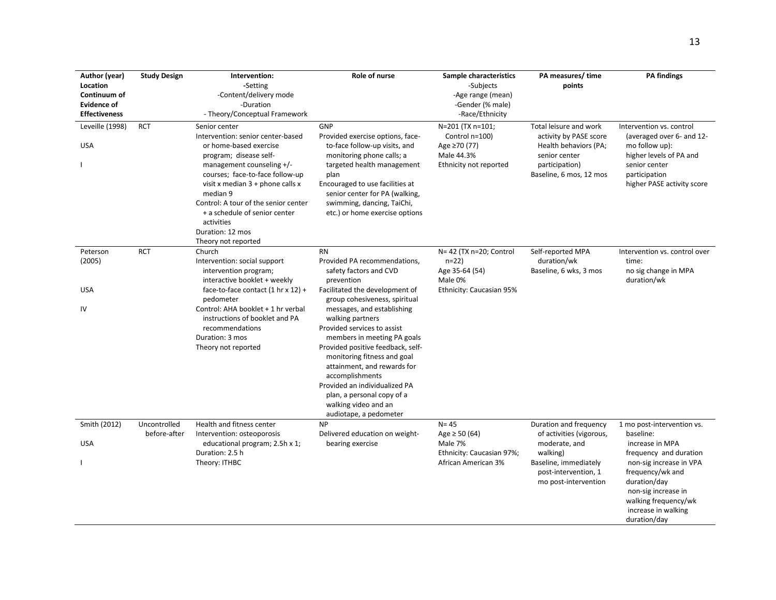| Author (year)<br>Location<br>Continuum of<br><b>Evidence of</b><br><b>Effectiveness</b> | <b>Study Design</b>          | Intervention:<br>-Setting<br>-Content/delivery mode<br>-Duration<br>- Theory/Conceptual Framework                                                                                                                                                                                                                                                          | Role of nurse                                                                                                                                                                                                                                                                                                                                                                                                                                                                                               | Sample characteristics<br>-Subjects<br>-Age range (mean)<br>-Gender (% male)<br>-Race/Ethnicity | PA measures/time<br>points                                                                                                                               | <b>PA</b> findings                                                                                                                                                                                                                        |
|-----------------------------------------------------------------------------------------|------------------------------|------------------------------------------------------------------------------------------------------------------------------------------------------------------------------------------------------------------------------------------------------------------------------------------------------------------------------------------------------------|-------------------------------------------------------------------------------------------------------------------------------------------------------------------------------------------------------------------------------------------------------------------------------------------------------------------------------------------------------------------------------------------------------------------------------------------------------------------------------------------------------------|-------------------------------------------------------------------------------------------------|----------------------------------------------------------------------------------------------------------------------------------------------------------|-------------------------------------------------------------------------------------------------------------------------------------------------------------------------------------------------------------------------------------------|
| Leveille (1998)<br><b>USA</b>                                                           | <b>RCT</b>                   | Senior center<br>Intervention: senior center-based<br>or home-based exercise<br>program; disease self-<br>management counseling +/-<br>courses; face-to-face follow-up<br>visit x median $3 +$ phone calls x<br>median 9<br>Control: A tour of the senior center<br>+ a schedule of senior center<br>activities<br>Duration: 12 mos<br>Theory not reported | GNP<br>Provided exercise options, face-<br>to-face follow-up visits, and<br>monitoring phone calls; a<br>targeted health management<br>plan<br>Encouraged to use facilities at<br>senior center for PA (walking,<br>swimming, dancing, TaiChi,<br>etc.) or home exercise options                                                                                                                                                                                                                            | N=201 (TX n=101;<br>Control n=100)<br>Age ≥70 (77)<br>Male 44.3%<br>Ethnicity not reported      | Total leisure and work<br>activity by PASE score<br>Health behaviors (PA;<br>senior center<br>participation)<br>Baseline, 6 mos, 12 mos                  | Intervention vs. control<br>(averaged over 6- and 12-<br>mo follow up):<br>higher levels of PA and<br>senior center<br>participation<br>higher PASE activity score                                                                        |
| Peterson<br>(2005)<br><b>USA</b><br>IV                                                  | <b>RCT</b>                   | Church<br>Intervention: social support<br>intervention program;<br>interactive booklet + weekly<br>face-to-face contact $(1 \text{ hr} \times 12)$ +<br>pedometer<br>Control: AHA booklet + 1 hr verbal<br>instructions of booklet and PA<br>recommendations<br>Duration: 3 mos<br>Theory not reported                                                     | <b>RN</b><br>Provided PA recommendations,<br>safety factors and CVD<br>prevention<br>Facilitated the development of<br>group cohesiveness, spiritual<br>messages, and establishing<br>walking partners<br>Provided services to assist<br>members in meeting PA goals<br>Provided positive feedback, self-<br>monitoring fitness and goal<br>attainment, and rewards for<br>accomplishments<br>Provided an individualized PA<br>plan, a personal copy of a<br>walking video and an<br>audiotape, a pedometer | N= 42 (TX n=20; Control<br>$n=22$<br>Age 35-64 (54)<br>Male 0%<br>Ethnicity: Caucasian 95%      | Self-reported MPA<br>duration/wk<br>Baseline, 6 wks, 3 mos                                                                                               | Intervention vs. control over<br>time:<br>no sig change in MPA<br>duration/wk                                                                                                                                                             |
| Smith (2012)<br><b>USA</b><br>-1                                                        | Uncontrolled<br>before-after | Health and fitness center<br>Intervention: osteoporosis<br>educational program; 2.5h x 1;<br>Duration: 2.5 h<br>Theory: ITHBC                                                                                                                                                                                                                              | <b>NP</b><br>Delivered education on weight-<br>bearing exercise                                                                                                                                                                                                                                                                                                                                                                                                                                             | $N = 45$<br>Age $\geq 50(64)$<br>Male 7%<br>Ethnicity: Caucasian 97%;<br>African American 3%    | Duration and frequency<br>of activities (vigorous,<br>moderate, and<br>walking)<br>Baseline, immediately<br>post-intervention, 1<br>mo post-intervention | 1 mo post-intervention vs.<br>baseline:<br>increase in MPA<br>frequency and duration<br>non-sig increase in VPA<br>frequency/wk and<br>duration/day<br>non-sig increase in<br>walking frequency/wk<br>increase in walking<br>duration/day |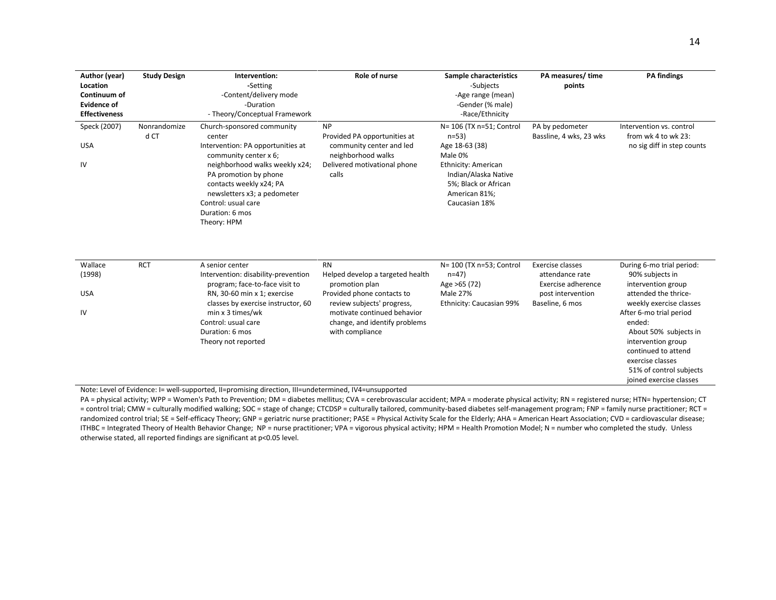| Author (year)        | <b>Study Design</b> | Intervention:                                                         | <b>Role of nurse</b>                               | Sample characteristics    | PA measures/time                      | <b>PA</b> findings                    |
|----------------------|---------------------|-----------------------------------------------------------------------|----------------------------------------------------|---------------------------|---------------------------------------|---------------------------------------|
| Location             |                     | -Setting                                                              |                                                    | -Subjects                 | points                                |                                       |
| Continuum of         |                     | -Content/delivery mode                                                |                                                    | -Age range (mean)         |                                       |                                       |
| <b>Evidence of</b>   |                     | -Duration                                                             |                                                    | -Gender (% male)          |                                       |                                       |
| <b>Effectiveness</b> |                     | - Theory/Conceptual Framework                                         |                                                    | -Race/Ethnicity           |                                       |                                       |
| Speck (2007)         | Nonrandomize        | Church-sponsored community                                            | <b>NP</b>                                          | N= 106 (TX n=51; Control  | PA by pedometer                       | Intervention vs. control              |
|                      | d CT                | center                                                                | Provided PA opportunities at                       | $n=53$                    | Bassline, 4 wks, 23 wks               | from wk 4 to wk 23:                   |
| <b>USA</b>           |                     | Intervention: PA opportunities at<br>community center x 6;            | community center and led<br>neighborhood walks     | Age 18-63 (38)<br>Male 0% |                                       | no sig diff in step counts            |
| IV                   |                     | neighborhood walks weekly x24;                                        | Delivered motivational phone                       | Ethnicity: American       |                                       |                                       |
|                      |                     | PA promotion by phone                                                 | calls                                              | Indian/Alaska Native      |                                       |                                       |
|                      |                     | contacts weekly x24; PA                                               |                                                    | 5%; Black or African      |                                       |                                       |
|                      |                     | newsletters x3; a pedometer                                           |                                                    | American 81%;             |                                       |                                       |
|                      |                     | Control: usual care                                                   |                                                    | Caucasian 18%             |                                       |                                       |
|                      |                     | Duration: 6 mos                                                       |                                                    |                           |                                       |                                       |
|                      |                     | Theory: HPM                                                           |                                                    |                           |                                       |                                       |
|                      |                     |                                                                       |                                                    |                           |                                       |                                       |
|                      |                     |                                                                       |                                                    |                           |                                       |                                       |
| Wallace              | <b>RCT</b>          | A senior center                                                       | <b>RN</b>                                          | N= 100 (TX n=53; Control  | Exercise classes                      | During 6-mo trial period:             |
| (1998)               |                     | Intervention: disability-prevention<br>program; face-to-face visit to | Helped develop a targeted health<br>promotion plan | $n=47$<br>Age >65 (72)    | attendance rate<br>Exercise adherence | 90% subjects in<br>intervention group |
| <b>USA</b>           |                     | RN, 30-60 min x 1; exercise                                           | Provided phone contacts to                         | <b>Male 27%</b>           | post intervention                     | attended the thrice-                  |
|                      |                     | classes by exercise instructor, 60                                    | review subjects' progress,                         | Ethnicity: Caucasian 99%  | Baseline, 6 mos                       | weekly exercise classes               |
| IV                   |                     | min x 3 times/wk                                                      | motivate continued behavior                        |                           |                                       | After 6-mo trial period               |
|                      |                     | Control: usual care                                                   | change, and identify problems                      |                           |                                       | ended:                                |
|                      |                     | Duration: 6 mos                                                       | with compliance                                    |                           |                                       | About 50% subjects in                 |
|                      |                     | Theory not reported                                                   |                                                    |                           |                                       | intervention group                    |
|                      |                     |                                                                       |                                                    |                           |                                       | continued to attend                   |
|                      |                     |                                                                       |                                                    |                           |                                       | exercise classes                      |
|                      |                     |                                                                       |                                                    |                           |                                       | 51% of control subjects               |
|                      |                     |                                                                       |                                                    |                           |                                       | joined exercise classes               |

Note: Level of Evidence: I= well-supported, II=promising direction, III=undetermined, IV4=unsupported

PA = physical activity; WPP = Women's Path to Prevention; DM = diabetes mellitus; CVA = cerebrovascular accident; MPA = moderate physical activity; RN = registered nurse; HTN= hypertension; CT = control trial; CMW = culturally modified walking; SOC = stage of change; CTCDSP = culturally tailored, community-based diabetes self-management program; FNP = family nurse practitioner; RCT = randomized control trial; SE = Self-efficacy Theory; GNP = geriatric nurse practitioner; PASE = Physical Activity Scale for the Elderly; AHA = American Heart Association; CVD = cardiovascular disease; ITHBC = Integrated Theory of Health Behavior Change; NP = nurse practitioner; VPA = vigorous physical activity; HPM = Health Promotion Model; N = number who completed the study. Unless otherwise stated, all reported findings are significant at p<0.05 level.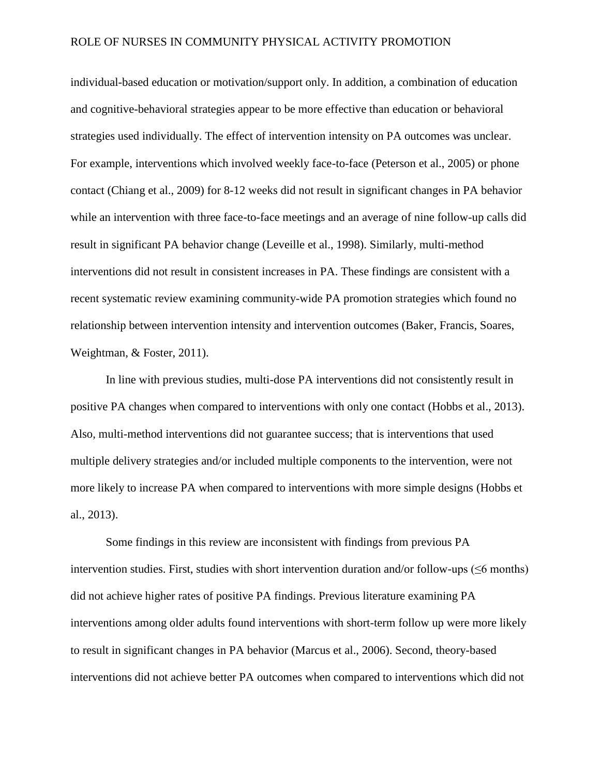individual-based education or motivation/support only. In addition, a combination of education and cognitive-behavioral strategies appear to be more effective than education or behavioral strategies used individually. The effect of intervention intensity on PA outcomes was unclear. For example, interventions which involved weekly face-to-face (Peterson et al., 2005) or phone contact (Chiang et al., 2009) for 8-12 weeks did not result in significant changes in PA behavior while an intervention with three face-to-face meetings and an average of nine follow-up calls did result in significant PA behavior change (Leveille et al., 1998). Similarly, multi-method interventions did not result in consistent increases in PA. These findings are consistent with a recent systematic review examining community-wide PA promotion strategies which found no relationship between intervention intensity and intervention outcomes (Baker, Francis, Soares, Weightman, & Foster, 2011).

In line with previous studies, multi-dose PA interventions did not consistently result in positive PA changes when compared to interventions with only one contact (Hobbs et al., 2013). Also, multi-method interventions did not guarantee success; that is interventions that used multiple delivery strategies and/or included multiple components to the intervention, were not more likely to increase PA when compared to interventions with more simple designs (Hobbs et al., 2013).

Some findings in this review are inconsistent with findings from previous PA intervention studies. First, studies with short intervention duration and/or follow-ups (≤6 months) did not achieve higher rates of positive PA findings. Previous literature examining PA interventions among older adults found interventions with short-term follow up were more likely to result in significant changes in PA behavior (Marcus et al., 2006). Second, theory-based interventions did not achieve better PA outcomes when compared to interventions which did not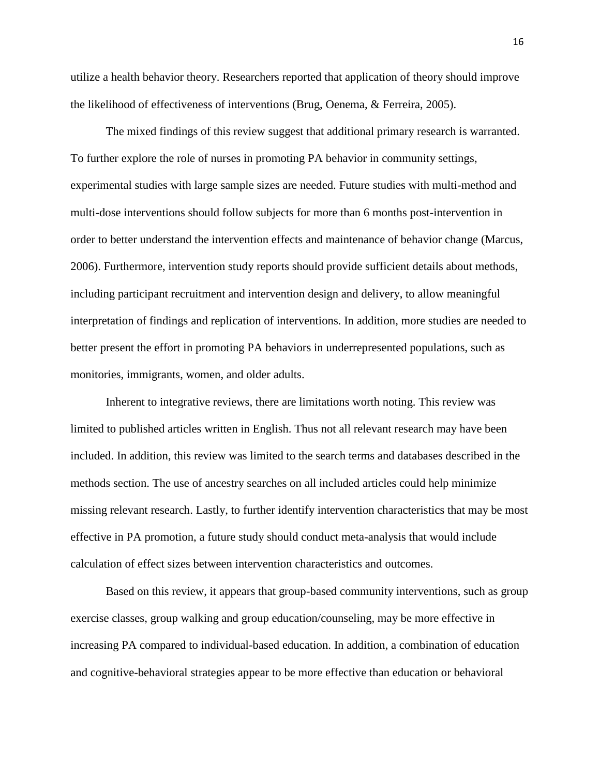utilize a health behavior theory. Researchers reported that application of theory should improve the likelihood of effectiveness of interventions (Brug, Oenema, & Ferreira, 2005).

The mixed findings of this review suggest that additional primary research is warranted. To further explore the role of nurses in promoting PA behavior in community settings, experimental studies with large sample sizes are needed. Future studies with multi-method and multi-dose interventions should follow subjects for more than 6 months post-intervention in order to better understand the intervention effects and maintenance of behavior change (Marcus, 2006). Furthermore, intervention study reports should provide sufficient details about methods, including participant recruitment and intervention design and delivery, to allow meaningful interpretation of findings and replication of interventions. In addition, more studies are needed to better present the effort in promoting PA behaviors in underrepresented populations, such as monitories, immigrants, women, and older adults.

Inherent to integrative reviews, there are limitations worth noting. This review was limited to published articles written in English. Thus not all relevant research may have been included. In addition, this review was limited to the search terms and databases described in the methods section. The use of ancestry searches on all included articles could help minimize missing relevant research. Lastly, to further identify intervention characteristics that may be most effective in PA promotion, a future study should conduct meta-analysis that would include calculation of effect sizes between intervention characteristics and outcomes.

Based on this review, it appears that group-based community interventions, such as group exercise classes, group walking and group education/counseling, may be more effective in increasing PA compared to individual-based education. In addition, a combination of education and cognitive-behavioral strategies appear to be more effective than education or behavioral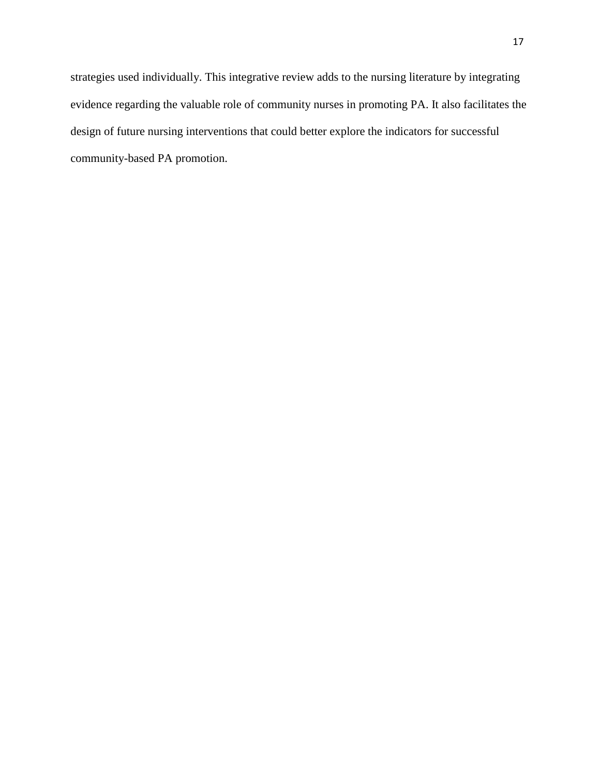strategies used individually. This integrative review adds to the nursing literature by integrating evidence regarding the valuable role of community nurses in promoting PA. It also facilitates the design of future nursing interventions that could better explore the indicators for successful community-based PA promotion.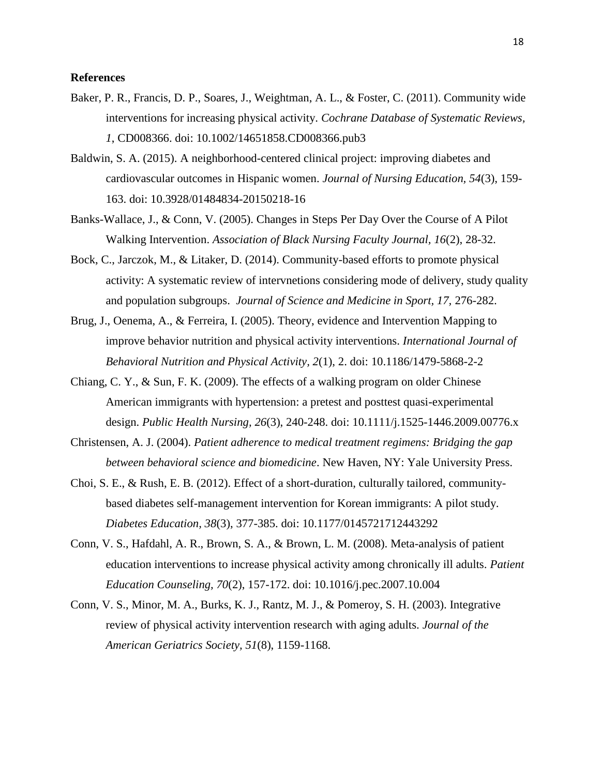## **References**

- Baker, P. R., Francis, D. P., Soares, J., Weightman, A. L., & Foster, C. (2011). Community wide interventions for increasing physical activity. *Cochrane Database of Systematic Reviews, 1*, CD008366. doi: 10.1002/14651858.CD008366.pub3
- Baldwin, S. A. (2015). A neighborhood-centered clinical project: improving diabetes and cardiovascular outcomes in Hispanic women. *Journal of Nursing Education, 54*(3), 159- 163. doi: 10.3928/01484834-20150218-16
- Banks-Wallace, J., & Conn, V. (2005). Changes in Steps Per Day Over the Course of A Pilot Walking Intervention. *Association of Black Nursing Faculty Journal, 16*(2), 28-32.
- Bock, C., Jarczok, M., & Litaker, D. (2014). Community-based efforts to promote physical activity: A systematic review of intervnetions considering mode of delivery, study quality and population subgroups. *Journal of Science and Medicine in Sport, 17,* 276-282.
- Brug, J., Oenema, A., & Ferreira, I. (2005). Theory, evidence and Intervention Mapping to improve behavior nutrition and physical activity interventions. *International Journal of Behavioral Nutrition and Physical Activity, 2*(1), 2. doi: 10.1186/1479-5868-2-2
- Chiang, C. Y., & Sun, F. K. (2009). The effects of a walking program on older Chinese American immigrants with hypertension: a pretest and posttest quasi-experimental design. *Public Health Nursing, 26*(3), 240-248. doi: 10.1111/j.1525-1446.2009.00776.x
- Christensen, A. J. (2004). *Patient adherence to medical treatment regimens: Bridging the gap between behavioral science and biomedicine*. New Haven, NY: Yale University Press.
- Choi, S. E., & Rush, E. B. (2012). Effect of a short-duration, culturally tailored, communitybased diabetes self-management intervention for Korean immigrants: A pilot study. *Diabetes Education, 38*(3), 377-385. doi: 10.1177/0145721712443292
- Conn, V. S., Hafdahl, A. R., Brown, S. A., & Brown, L. M. (2008). Meta-analysis of patient education interventions to increase physical activity among chronically ill adults. *Patient Education Counseling, 70*(2), 157-172. doi: 10.1016/j.pec.2007.10.004
- Conn, V. S., Minor, M. A., Burks, K. J., Rantz, M. J., & Pomeroy, S. H. (2003). Integrative review of physical activity intervention research with aging adults. *Journal of the American Geriatrics Society, 51*(8), 1159-1168.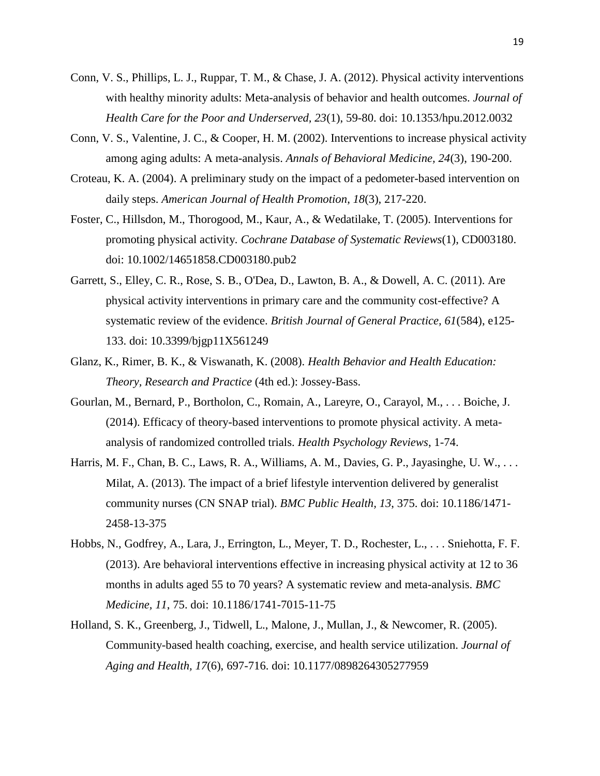- Conn, V. S., Phillips, L. J., Ruppar, T. M., & Chase, J. A. (2012). Physical activity interventions with healthy minority adults: Meta-analysis of behavior and health outcomes. *Journal of Health Care for the Poor and Underserved, 23*(1), 59-80. doi: 10.1353/hpu.2012.0032
- Conn, V. S., Valentine, J. C., & Cooper, H. M. (2002). Interventions to increase physical activity among aging adults: A meta-analysis. *Annals of Behavioral Medicine, 24*(3), 190-200.
- Croteau, K. A. (2004). A preliminary study on the impact of a pedometer-based intervention on daily steps. *American Journal of Health Promotion*, *18*(3), 217-220.
- Foster, C., Hillsdon, M., Thorogood, M., Kaur, A., & Wedatilake, T. (2005). Interventions for promoting physical activity*. Cochrane Database of Systematic Reviews*(1), CD003180. doi: 10.1002/14651858.CD003180.pub2
- Garrett, S., Elley, C. R., Rose, S. B., O'Dea, D., Lawton, B. A., & Dowell, A. C. (2011). Are physical activity interventions in primary care and the community cost-effective? A systematic review of the evidence. *British Journal of General Practice, 61*(584), e125- 133. doi: 10.3399/bjgp11X561249
- Glanz, K., Rimer, B. K., & Viswanath, K. (2008). *Health Behavior and Health Education: Theory, Research and Practice* (4th ed.): Jossey-Bass.
- Gourlan, M., Bernard, P., Bortholon, C., Romain, A., Lareyre, O., Carayol, M., . . . Boiche, J. (2014). Efficacy of theory-based interventions to promote physical activity. A metaanalysis of randomized controlled trials. *Health Psychology Reviews*, 1-74.
- Harris, M. F., Chan, B. C., Laws, R. A., Williams, A. M., Davies, G. P., Jayasinghe, U. W., ... Milat, A. (2013). The impact of a brief lifestyle intervention delivered by generalist community nurses (CN SNAP trial). *BMC Public Health, 13*, 375. doi: 10.1186/1471- 2458-13-375
- Hobbs, N., Godfrey, A., Lara, J., Errington, L., Meyer, T. D., Rochester, L., . . . Sniehotta, F. F. (2013). Are behavioral interventions effective in increasing physical activity at 12 to 36 months in adults aged 55 to 70 years? A systematic review and meta-analysis. *BMC Medicine, 11*, 75. doi: 10.1186/1741-7015-11-75
- Holland, S. K., Greenberg, J., Tidwell, L., Malone, J., Mullan, J., & Newcomer, R. (2005). Community-based health coaching, exercise, and health service utilization. *Journal of Aging and Health, 17*(6), 697-716. doi: 10.1177/0898264305277959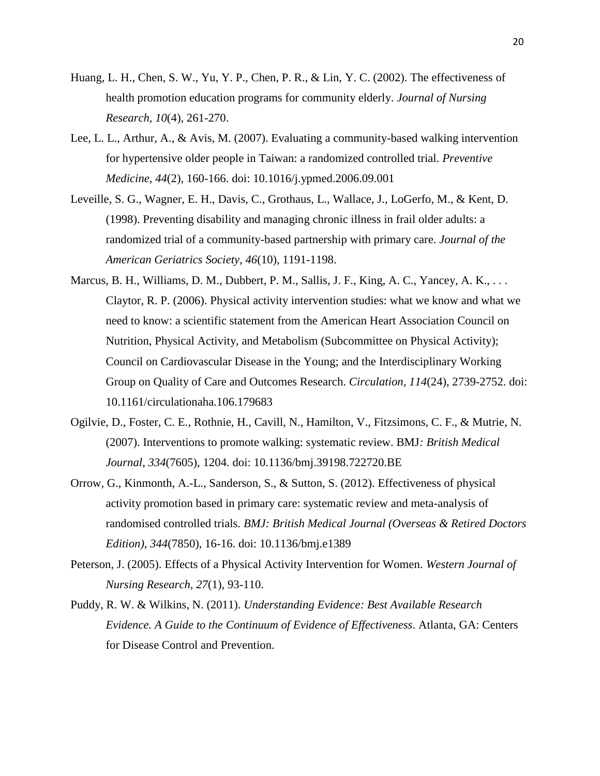- Huang, L. H., Chen, S. W., Yu, Y. P., Chen, P. R., & Lin, Y. C. (2002). The effectiveness of health promotion education programs for community elderly. *Journal of Nursing Research, 10*(4), 261-270.
- Lee, L. L., Arthur, A., & Avis, M. (2007). Evaluating a community-based walking intervention for hypertensive older people in Taiwan: a randomized controlled trial. *Preventive Medicine, 44*(2), 160-166. doi: 10.1016/j.ypmed.2006.09.001
- Leveille, S. G., Wagner, E. H., Davis, C., Grothaus, L., Wallace, J., LoGerfo, M., & Kent, D. (1998). Preventing disability and managing chronic illness in frail older adults: a randomized trial of a community-based partnership with primary care. *Journal of the American Geriatrics Society, 46*(10), 1191-1198.
- Marcus, B. H., Williams, D. M., Dubbert, P. M., Sallis, J. F., King, A. C., Yancey, A. K., . . . Claytor, R. P. (2006). Physical activity intervention studies: what we know and what we need to know: a scientific statement from the American Heart Association Council on Nutrition, Physical Activity, and Metabolism (Subcommittee on Physical Activity); Council on Cardiovascular Disease in the Young; and the Interdisciplinary Working Group on Quality of Care and Outcomes Research. *Circulation, 114*(24), 2739-2752. doi: 10.1161/circulationaha.106.179683
- Ogilvie, D., Foster, C. E., Rothnie, H., Cavill, N., Hamilton, V., Fitzsimons, C. F., & Mutrie, N. (2007). Interventions to promote walking: systematic review. BMJ*: British Medical Journal*, *334*(7605), 1204. doi: 10.1136/bmj.39198.722720.BE
- Orrow, G., Kinmonth, A.-L., Sanderson, S., & Sutton, S. (2012). Effectiveness of physical activity promotion based in primary care: systematic review and meta-analysis of randomised controlled trials. *BMJ: British Medical Journal (Overseas & Retired Doctors Edition), 344*(7850), 16-16. doi: 10.1136/bmj.e1389
- Peterson, J. (2005). Effects of a Physical Activity Intervention for Women. *Western Journal of Nursing Research, 27*(1), 93-110.
- Puddy, R. W. & Wilkins, N. (2011). *Understanding Evidence: Best Available Research Evidence. A Guide to the Continuum of Evidence of Effectiveness*. Atlanta, GA: Centers for Disease Control and Prevention.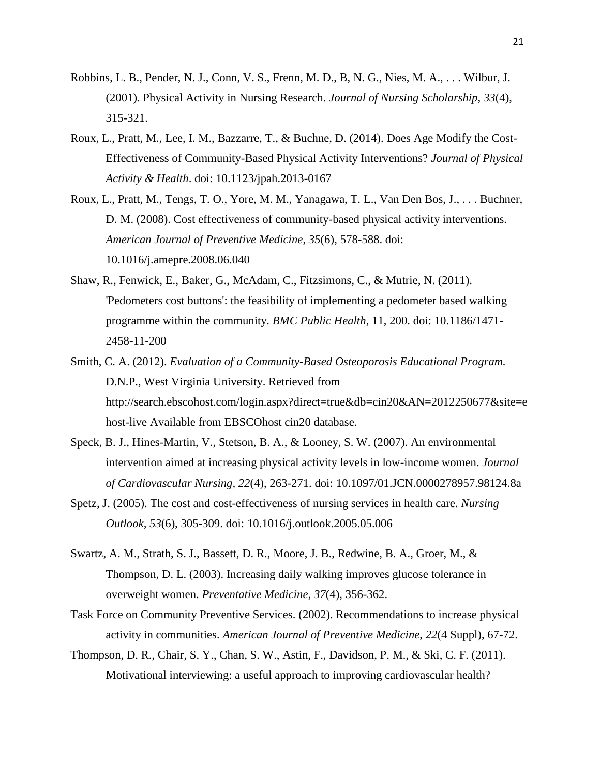- Robbins, L. B., Pender, N. J., Conn, V. S., Frenn, M. D., B, N. G., Nies, M. A., . . . Wilbur, J. (2001). Physical Activity in Nursing Research. *Journal of Nursing Scholarship, 33*(4), 315-321.
- Roux, L., Pratt, M., Lee, I. M., Bazzarre, T., & Buchne, D. (2014). Does Age Modify the Cost-Effectiveness of Community-Based Physical Activity Interventions? *Journal of Physical Activity & Health*. doi: 10.1123/jpah.2013-0167
- Roux, L., Pratt, M., Tengs, T. O., Yore, M. M., Yanagawa, T. L., Van Den Bos, J., . . . Buchner, D. M. (2008). Cost effectiveness of community-based physical activity interventions. *American Journal of Preventive Medicine*, *35*(6), 578-588. doi: 10.1016/j.amepre.2008.06.040
- Shaw, R., Fenwick, E., Baker, G., McAdam, C., Fitzsimons, C., & Mutrie, N. (2011). 'Pedometers cost buttons': the feasibility of implementing a pedometer based walking programme within the community. *BMC Public Health*, 11, 200. doi: 10.1186/1471- 2458-11-200
- Smith, C. A. (2012). *Evaluation of a Community-Based Osteoporosis Educational Program.* D.N.P., West Virginia University. Retrieved from http://search.ebscohost.com/login.aspx?direct=true&db=cin20&AN=2012250677&site=e host-live Available from EBSCOhost cin20 database.
- Speck, B. J., Hines-Martin, V., Stetson, B. A., & Looney, S. W. (2007). An environmental intervention aimed at increasing physical activity levels in low-income women. *Journal of Cardiovascular Nursing, 22*(4), 263-271. doi: 10.1097/01.JCN.0000278957.98124.8a
- Spetz, J. (2005). The cost and cost-effectiveness of nursing services in health care. *Nursing Outlook, 53*(6), 305-309. doi: 10.1016/j.outlook.2005.05.006
- Swartz, A. M., Strath, S. J., Bassett, D. R., Moore, J. B., Redwine, B. A., Groer, M., & Thompson, D. L. (2003). Increasing daily walking improves glucose tolerance in overweight women. *Preventative Medicine*, *37*(4), 356-362.
- Task Force on Community Preventive Services. (2002). Recommendations to increase physical activity in communities. *American Journal of Preventive Medicine*, *22*(4 Suppl), 67-72.
- Thompson, D. R., Chair, S. Y., Chan, S. W., Astin, F., Davidson, P. M., & Ski, C. F. (2011). Motivational interviewing: a useful approach to improving cardiovascular health?